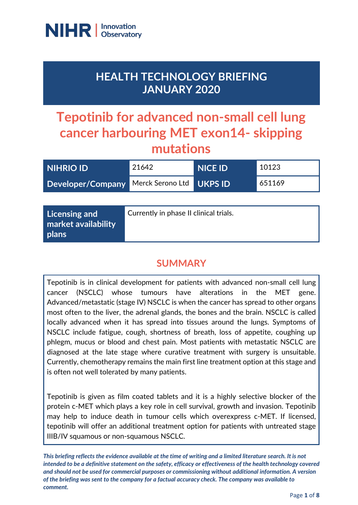

**market availability** 

**plans**

## **HEALTH TECHNOLOGY BRIEFING JANUARY 2020**

# **Tepotinib for advanced non-small cell lung cancer harbouring MET exon14- skipping mutations**

| <b>NIHRIO ID</b>  | 21642                                  | <b>NICE ID</b> | 10123  |
|-------------------|----------------------------------------|----------------|--------|
| Developer/Company | Merck Serono Ltd                       | <b>UKPS ID</b> | 651169 |
|                   |                                        |                |        |
| Licensing and     | Currently in phase II clinical trials. |                |        |

## **SUMMARY**

Tepotinib is in clinical development for patients with advanced non-small cell lung cancer (NSCLC) whose tumours have alterations in the MET gene. Advanced/metastatic (stage IV) NSCLC is when the cancer has spread to other organs most often to the liver, the adrenal glands, the bones and the brain. NSCLC is called locally advanced when it has spread into tissues around the lungs. Symptoms of NSCLC include fatigue, cough, shortness of breath, loss of appetite, coughing up phlegm, mucus or blood and chest pain. Most patients with metastatic NSCLC are diagnosed at the late stage where curative treatment with surgery is unsuitable. Currently, chemotherapy remains the main first line treatment option at this stage and is often not well tolerated by many patients.

Tepotinib is given as film coated tablets and it is a highly selective blocker of the protein c-MET which plays a key role in cell survival, growth and invasion. Tepotinib may help to induce death in tumour cells which overexpress c-MET. If licensed, tepotinib will offer an additional treatment option for patients with untreated stage IIIB/IV squamous or non-squamous NSCLC.

*This briefing reflects the evidence available at the time of writing and a limited literature search. It is not intended to be a definitive statement on the safety, efficacy or effectiveness of the health technology covered and should not be used for commercial purposes or commissioning without additional information. A version of the briefing was sent to the company for a factual accuracy check. The company was available to comment.*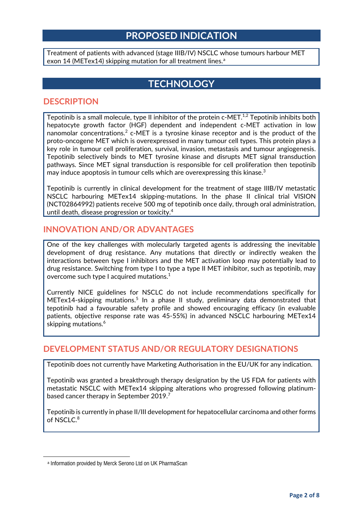### **PROPOSED INDICATION**

Treatment of patients with advanced (stage IIIB/IV) NSCLC whose tumours harbour MET exon 14 (METex14) skipping mut[a](#page-1-0)tion for all treatment lines.<sup>a</sup>

## **TECHNOLOGY**

#### **DESCRIPTION**

Tepotinib is a small molecule, type II inhibitor of the protein c-MET.<sup>1,2</sup> Tepotinib inhibits both hepatocyte growth factor (HGF) dependent and independent c-MET activation in low nanomolar concentrations.<sup>2</sup> c-MET is a tyrosine kinase receptor and is the product of the proto-oncogene MET which is overexpressed in many tumour cell types. This protein plays a key role in tumour cell proliferation, survival, invasion, metastasis and tumour angiogenesis. Tepotinib selectively binds to MET tyrosine kinase and disrupts MET signal transduction pathways. Since MET signal transduction is responsible for cell proliferation then tepotinib may induce apoptosis in tumour cells which are overexpressing this kinase.<sup>3</sup>

Tepotinib is currently in clinical development for the treatment of stage IIIB/IV metastatic NSCLC harbouring METex14 skipping-mutations. In the phase II clinical trial VISION (NCT02864992) patients receive 500 mg of tepotinib once daily, through oral administration, until death, disease progression or toxicity. 4

#### **INNOVATION AND/OR ADVANTAGES**

One of the key challenges with molecularly targeted agents is addressing the inevitable development of drug resistance. Any mutations that directly or indirectly weaken the interactions between type I inhibitors and the MET activation loop may potentially lead to drug resistance. Switching from type I to type a type II MET inhibitor, such as tepotinib, may overcome such type I acquired mutations.<sup>1</sup>

Currently NICE guidelines for NSCLC do not include recommendations specifically for METex14-skipping mutations.<sup>5</sup> In a phase II study, preliminary data demonstrated that tepotinib had a favourable safety profile and showed encouraging efficacy (in evaluable patients, objective response rate was 45-55%) in advanced NSCLC harbouring METex14 skipping mutations. 6

#### **DEVELOPMENT STATUS AND/OR REGULATORY DESIGNATIONS**

Tepotinib does not currently have Marketing Authorisation in the EU/UK for any indication.

Tepotinib was granted a breakthrough therapy designation by the US FDA for patients with metastatic NSCLC with METex14 skipping alterations who progressed following platinumbased cancer therapy in September 2019.<sup>7</sup>

Tepotinib is currently in phase II/III development for hepatocellular carcinoma and other forms of NSCLC. 8

<span id="page-1-0"></span> $\overline{a}$ 

<sup>a</sup> Information provided by Merck Serono Ltd on UK PharmaScan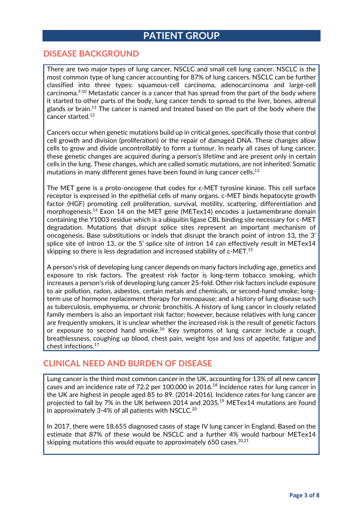## **PATIENT GROUP**

#### **DISEASE BACKGROUND**

There are two major types of lung cancer, NSCLC and small cell lung cancer. NSCLC is the most common type of lung cancer accounting for 87% of lung cancers. NSCLC can be further classified into three types: squamous-cell carcinoma, adenocarcinoma and large-cell carcinoma.<sup>9,10</sup> Metastatic cancer is a cancer that has spread from the part of the body where it started to other parts of the body, lung cancer tends to spread to the liver, bones, adrenal glands or brain.<sup>11</sup> The cancer is named and treated based on the part of the body where the cancer started.<sup>12</sup>

Cancers occur when genetic mutations build up in critical genes, specifically those that control cell growth and division (proliferation) or the repair of damaged DNA. These changes allow cells to grow and divide uncontrollably to form a tumour. In nearly all cases of lung cancer, these genetic changes are acquired during a person's lifetime and are present only in certain cells in the lung. These changes, which are called somatic mutations, are not inherited. Somatic mutations in many different genes have been found in lung cancer cells.<sup>13</sup>

The MET gene is a proto-oncogene that codes for c-MET tyrosine kinase. This cell surface receptor is expressed in the epithelial cells of many organs. c-MET binds hepatocyte growth factor (HGF) promoting cell proliferation, survival, motility, scattering, differentiation and morphogenesis. <sup>14</sup> Exon 14 on the MET gene (METex14) encodes a juxtamembrane domain containing the Y1003 residue which is a ubiquitin ligase CBL binding site necessary for c-MET degradation. Mutations that disrupt splice sites represent an important mechanism of oncogenesis. Base substitutions or indels that disrupt the branch point of intron 13, the 3' splice site of intron 13, or the 5' splice site of intron 14 can effectively result in METex14 skipping so there is less degradation and increased stability of c-MET.15

A person's risk of developing lung cancer depends on many factors including age, genetics and exposure to risk factors. The greatest risk factor is long-term tobacco smoking, which increases a person's risk of developing lung cancer 25-fold. Other risk factors include exposure to air pollution, radon, asbestos, certain metals and chemicals, or second-hand smoke; longterm use of hormone replacement therapy for menopause; and a history of lung disease such as tuberculosis, emphysema, or chronic bronchitis. A history of lung cancer in closely related family members is also an important risk factor; however, because relatives with lung cancer are frequently smokers, it is unclear whether the increased risk is the result of genetic factors or exposure to second hand smoke.<sup>16</sup> Key symptoms of lung cancer include a cough, breathlessness, coughing up blood, chest pain, weight loss and loss of appetite, fatigue and chest infections.17

#### **CLINICAL NEED AND BURDEN OF DISEASE**

Lung cancer is the third most common cancer in the UK, accounting for 13% of all new cancer cases and an incidence rate of 72.2 per 100,000 in 2016. <sup>18</sup> Incidence rates for lung cancer in the UK are highest in people aged 85 to 89. (2014-2016). Incidence rates for lung cancer are projected to fall by 7% in the UK between 2014 and 2035. <sup>19</sup> METex14 mutations are found in approximately 3-4% of all patients with NSCLC.<sup>20</sup>

In 2017, there were 18,655 diagnosed cases of stage IV lung cancer in England. Based on the estimate that 87% of these would be NSCLC and a further 4% would harbour METex14 skipping mutations this would equate to approximately 650 cases. $^{20,21}$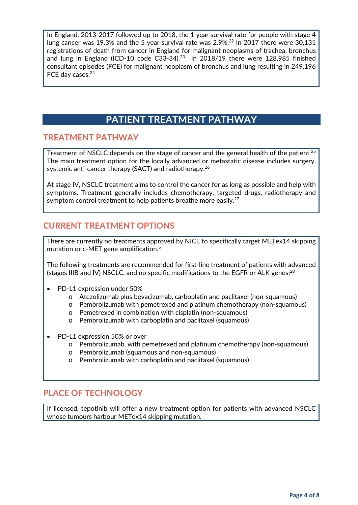In England, 2013-2017 followed up to 2018, the 1 year survival rate for people with stage 4 lung cancer was 19.3% and the 5 year survival rate was 2.9%.<sup>22</sup> In 2017 there were 30,131 registrations of death from cancer in England for malignant neoplasms of trachea, bronchus and lung in England (ICD-10 code C33-34).<sup>23</sup> In 2018/19 there were 128,985 finished consultant episodes (FCE) for malignant neoplasm of bronchus and lung resulting in 249,196 FCE day cases.<sup>24</sup>

## **PATIENT TREATMENT PATHWAY**

#### **TREATMENT PATHWAY**

Treatment of NSCLC depends on the stage of cancer and the general health of the patient.<sup>25</sup> The main treatment option for the locally advanced or metastatic disease includes surgery, systemic anti-cancer therapy (SACT) and radiotherapy.<sup>26</sup>

At stage IV, NSCLC treatment aims to control the cancer for as long as possible and help with symptoms. Treatment generally includes chemotherapy, targeted drugs, radiotherapy and symptom control treatment to help patients breathe more easily.<sup>27</sup>

#### **CURRENT TREATMENT OPTIONS**

There are currently no treatments approved by NICE to specifically target METex14 skipping mutation or c-MET gene amplification.<sup>5</sup>

The following treatments are recommended for first-line treatment of patients with advanced (stages IIIB and IV) NSCLC, and no specific modifications to the EGFR or ALK genes: $^{28}$ 

- PD-L1 expression under 50%
	- o Atezolizumab plus bevacizumab, carboplatin and paclitaxel (non-squamous)
	- o Pembrolizumab with pemetrexed and platinum chemotherapy (non-squamous)
	- o Pemetrexed in combination with cisplatin (non-squamous)
	- o Pembrolizumab with carboplatin and paclitaxel (squamous)
- PD-L1 expression 50% or over
	- o Pembrolizumab, with pemetrexed and platinum chemotherapy (non-squamous)
	- o Pembrolizumab (squamous and non-squamous)
	- o Pembrolizumab with carboplatin and paclitaxel (squamous)

#### **PLACE OF TECHNOLOGY**

If licensed, tepotinib will offer a new treatment option for patients with advanced NSCLC whose tumours harbour METex14 skipping mutation.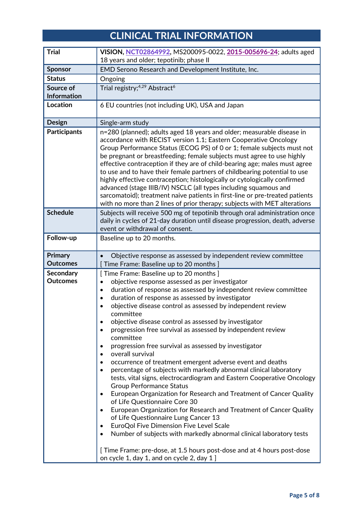## **CLINICAL TRIAL INFORMATION**

| VISION, NCT02864992, MS200095-0022, 2015-005696-24; adults aged                                                                                                                                                                                                                                                                                                                                                                                                                                                                                                                                                                                                                                                                                                                                                                                                                                                                                                                                                                                                                                                                                                                                                                                                                          |  |  |
|------------------------------------------------------------------------------------------------------------------------------------------------------------------------------------------------------------------------------------------------------------------------------------------------------------------------------------------------------------------------------------------------------------------------------------------------------------------------------------------------------------------------------------------------------------------------------------------------------------------------------------------------------------------------------------------------------------------------------------------------------------------------------------------------------------------------------------------------------------------------------------------------------------------------------------------------------------------------------------------------------------------------------------------------------------------------------------------------------------------------------------------------------------------------------------------------------------------------------------------------------------------------------------------|--|--|
| 18 years and older; tepotinib; phase II                                                                                                                                                                                                                                                                                                                                                                                                                                                                                                                                                                                                                                                                                                                                                                                                                                                                                                                                                                                                                                                                                                                                                                                                                                                  |  |  |
| EMD Serono Research and Development Institute, Inc.                                                                                                                                                                                                                                                                                                                                                                                                                                                                                                                                                                                                                                                                                                                                                                                                                                                                                                                                                                                                                                                                                                                                                                                                                                      |  |  |
| Ongoing                                                                                                                                                                                                                                                                                                                                                                                                                                                                                                                                                                                                                                                                                                                                                                                                                                                                                                                                                                                                                                                                                                                                                                                                                                                                                  |  |  |
| Trial registry; <sup>4,29</sup> Abstract <sup>6</sup>                                                                                                                                                                                                                                                                                                                                                                                                                                                                                                                                                                                                                                                                                                                                                                                                                                                                                                                                                                                                                                                                                                                                                                                                                                    |  |  |
| 6 EU countries (not including UK), USA and Japan                                                                                                                                                                                                                                                                                                                                                                                                                                                                                                                                                                                                                                                                                                                                                                                                                                                                                                                                                                                                                                                                                                                                                                                                                                         |  |  |
| Single-arm study                                                                                                                                                                                                                                                                                                                                                                                                                                                                                                                                                                                                                                                                                                                                                                                                                                                                                                                                                                                                                                                                                                                                                                                                                                                                         |  |  |
| n=280 (planned); adults aged 18 years and older; measurable disease in<br>accordance with RECIST version 1.1; Eastern Cooperative Oncology<br>Group Performance Status (ECOG PS) of 0 or 1; female subjects must not<br>be pregnant or breastfeeding; female subjects must agree to use highly<br>effective contraception if they are of child-bearing age; males must agree<br>to use and to have their female partners of childbearing potential to use<br>highly effective contraception; histologically or cytologically confirmed<br>advanced (stage IIIB/IV) NSCLC (all types including squamous and<br>sarcomatoid); treatment naive patients in first-line or pre-treated patients<br>with no more than 2 lines of prior therapy; subjects with MET alterations                                                                                                                                                                                                                                                                                                                                                                                                                                                                                                                  |  |  |
| Subjects will receive 500 mg of tepotinib through oral administration once<br>daily in cycles of 21-day duration until disease progression, death, adverse<br>event or withdrawal of consent.                                                                                                                                                                                                                                                                                                                                                                                                                                                                                                                                                                                                                                                                                                                                                                                                                                                                                                                                                                                                                                                                                            |  |  |
| Baseline up to 20 months.                                                                                                                                                                                                                                                                                                                                                                                                                                                                                                                                                                                                                                                                                                                                                                                                                                                                                                                                                                                                                                                                                                                                                                                                                                                                |  |  |
| Objective response as assessed by independent review committee<br>Time Frame: Baseline up to 20 months ]                                                                                                                                                                                                                                                                                                                                                                                                                                                                                                                                                                                                                                                                                                                                                                                                                                                                                                                                                                                                                                                                                                                                                                                 |  |  |
| [ Time Frame: Baseline up to 20 months ]<br>objective response assessed as per investigator<br>$\bullet$<br>duration of response as assessed by independent review committee<br>$\bullet$<br>duration of response as assessed by investigator<br>$\bullet$<br>objective disease control as assessed by independent review<br>committee<br>objective disease control as assessed by investigator<br>progression free survival as assessed by independent review<br>committee<br>progression free survival as assessed by investigator<br>overall survival<br>occurrence of treatment emergent adverse event and deaths<br>percentage of subjects with markedly abnormal clinical laboratory<br>$\bullet$<br>tests, vital signs, electrocardiogram and Eastern Cooperative Oncology<br><b>Group Performance Status</b><br>European Organization for Research and Treatment of Cancer Quality<br>of Life Questionnaire Core 30<br>European Organization for Research and Treatment of Cancer Quality<br>of Life Questionnaire Lung Cancer 13<br>EuroQol Five Dimension Five Level Scale<br>٠<br>Number of subjects with markedly abnormal clinical laboratory tests<br>[Time Frame: pre-dose, at 1.5 hours post-dose and at 4 hours post-dose<br>on cycle 1, day 1, and on cycle 2, day 1 ] |  |  |
|                                                                                                                                                                                                                                                                                                                                                                                                                                                                                                                                                                                                                                                                                                                                                                                                                                                                                                                                                                                                                                                                                                                                                                                                                                                                                          |  |  |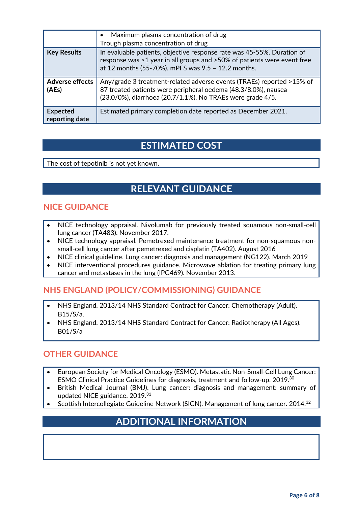|                                   | Maximum plasma concentration of drug<br>Trough plasma concentration of drug                                                                                                                             |
|-----------------------------------|---------------------------------------------------------------------------------------------------------------------------------------------------------------------------------------------------------|
| <b>Key Results</b>                | In evaluable patients, objective response rate was 45-55%. Duration of<br>response was >1 year in all groups and >50% of patients were event free<br>at 12 months (55-70%). mPFS was 9.5 - 12.2 months. |
| <b>Adverse effects</b><br>(AEs)   | Any/grade 3 treatment-related adverse events (TRAEs) reported >15% of<br>87 treated patients were peripheral oedema (48.3/8.0%), nausea<br>(23.0/0%), diarrhoea (20.7/1.1%). No TRAEs were grade 4/5.   |
| <b>Expected</b><br>reporting date | Estimated primary completion date reported as December 2021.                                                                                                                                            |

## **ESTIMATED COST**

The cost of tepotinib is not yet known.

## **RELEVANT GUIDANCE**

#### **NICE GUIDANCE**

- NICE technology appraisal. Nivolumab for previously treated squamous non-small-cell lung cancer (TA483). November 2017.
- NICE technology appraisal. Pemetrexed maintenance treatment for non-squamous nonsmall-cell lung cancer after pemetrexed and cisplatin (TA402). August 2016
- NICE clinical guideline. Lung cancer: diagnosis and management (NG122). March 2019
- NICE interventional procedures guidance. Microwave ablation for treating primary lung cancer and metastases in the lung (IPG469). November 2013.

### **NHS ENGLAND (POLICY/COMMISSIONING) GUIDANCE**

- NHS England. 2013/14 NHS Standard Contract for Cancer: Chemotherapy (Adult). B15/S/a.
- NHS England. 2013/14 NHS Standard Contract for Cancer: Radiotherapy (All Ages). B01/S/a

#### **OTHER GUIDANCE**

- European Society for Medical Oncology (ESMO). Metastatic Non-Small-Cell Lung Cancer: ESMO Clinical Practice Guidelines for diagnosis, treatment and follow-up. 2019.30
- British Medical Journal (BMJ). Lung cancer: diagnosis and management: summary of updated NICE guidance. 2019.<sup>31</sup>
- Scottish Intercollegiate Guideline Network (SIGN). Management of lung cancer. 2014.32

## **ADDITIONAL INFORMATION**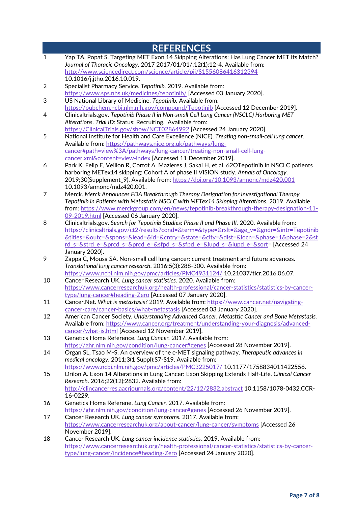|                         | <b>REFERENCES</b>                                                                                                                                         |
|-------------------------|-----------------------------------------------------------------------------------------------------------------------------------------------------------|
| $\mathbf 1$             | Yap TA, Popat S. Targeting MET Exon 14 Skipping Alterations: Has Lung Cancer MET Its Match?                                                               |
|                         | Journal of Thoracic Oncology. 2017 2017/01/01/;12(1):12-4. Available from:                                                                                |
|                         | http://www.sciencedirect.com/science/article/pii/S1556086416312394                                                                                        |
|                         | 10.1016/j.jtho.2016.10.019.                                                                                                                               |
| $\overline{\mathbf{c}}$ | Specialist Pharmacy Service. Tepotinib. 2019. Available from:                                                                                             |
|                         | https://www.sps.nhs.uk/medicines/tepotinib/ [Accessed 03 January 2020].                                                                                   |
| 3                       | US National Library of Medicine. Tepotinib. Available from:                                                                                               |
|                         | https://pubchem.ncbi.nlm.nih.gov/compound/Tepotinib [Accessed 12 December 2019].                                                                          |
| 4                       | Clinicaltrials.gov. Tepotinib Phase II in Non-small Cell Lung Cancer (NSCLC) Harboring MET                                                                |
|                         | Alterations. Trial ID: Status: Recruiting. Available from:<br>https://ClinicalTrials.gov/show/NCT02864992 [Accessed 24 January 2020].                     |
| 5                       | National Institute for Health and Care Excellence (NICE). Treating non-small-cell lung cancer.                                                            |
|                         | Available from: https://pathways.nice.org.uk/pathways/lung-                                                                                               |
|                         | cancer#path=view%3A/pathways/lung-cancer/treating-non-small-cell-lung-                                                                                    |
|                         | cancer.xml&content=view-index [Accessed 11 December 2019].                                                                                                |
| 6                       | Park K, Felip E, Veillon R, Cortot A, Mazieres J, Sakai H, et al. 62OTepotinib in NSCLC patients                                                          |
|                         | harboring METex14 skipping: Cohort A of phase II VISION study. Annals of Oncology.                                                                        |
|                         | 2019;30(Supplement_9). Available from: https://doi.org/10.1093/annonc/mdz420.001                                                                          |
|                         | 10.1093/annonc/mdz420.001.                                                                                                                                |
| 7                       | Merck. Merck Announces FDA Breakthrough Therapy Designation for Investigational Therapy                                                                   |
|                         | Tepotinib in Patients with Metastatic NSCLC with METex14 Skipping Alterations. 2019. Available                                                            |
|                         | from: https://www.merckgroup.com/en/news/tepotinib-breakthrough-therapy-designation-11-                                                                   |
|                         | 09-2019.html [Accessed 06 January 2020].                                                                                                                  |
| 8                       | Clinicaltrials.gov. Search for Tepotinib Studies: Phase II and Phase III. 2020. Available from:                                                           |
|                         | https://clinicaltrials.gov/ct2/results?cond=&term=&type=&rslt=&age_v=&gndr=&intr=Tepotinib                                                                |
|                         | &titles=&outc=&spons=&lead=&id=&cntry=&state=&city=&dist=&locn=&phase=1&phase=2&st                                                                        |
|                         | rd_s=&strd_e=&prcd_s=&prcd_e=&sfpd_s=&sfpd_e=&lupd_s=&lupd_e=&sort= [Accessed 24                                                                          |
|                         | January 2020].                                                                                                                                            |
| 9                       | Zappa C, Mousa SA. Non-small cell lung cancer: current treatment and future advances.                                                                     |
|                         | Translational lung cancer research. 2016;5(3):288-300. Available from:<br>https://www.ncbi.nlm.nih.gov/pmc/articles/PMC4931124/ 10.21037/tlcr.2016.06.07. |
| 10                      | Cancer Research UK. Lung cancer statistics. 2020. Available from:                                                                                         |
|                         | https://www.cancerresearchuk.org/health-professional/cancer-statistics/statistics-by-cancer-                                                              |
|                         | type/lung-cancer#heading-Zero [Accessed 07 January 2020].                                                                                                 |
| 11                      | Cancer.Net. What is metastasis? 2019. Available from: https://www.cancer.net/navigating-                                                                  |
|                         | cancer-care/cancer-basics/what-metastasis [Accessed 03 January 2020].                                                                                     |
| 12                      | American Cancer Society. Understanding Advanced Cancer, Metasttic Cancer and Bone Metastasis.                                                             |
|                         | Available from: https://www.cancer.org/treatment/understanding-your-diagnosis/advanced-                                                                   |
|                         | cancer/what-is.html [Accessed 12 November 2019].                                                                                                          |
| 13                      | Genetics Home Reference. Lung Cancer. 2017. Available from:                                                                                               |
|                         | https://ghr.nlm.nih.gov/condition/lung-cancer#genes [Accessed 28 November 2019].                                                                          |
| 14                      | Organ SL, Tsao M-S. An overview of the c-MET signaling pathway. Therapeutic advances in                                                                   |
|                         | medical oncology. 2011;3(1 Suppl):S7-S19. Available from:                                                                                                 |
|                         | https://www.ncbi.nlm.nih.gov/pmc/articles/PMC3225017/10.1177/1758834011422556.                                                                            |
| 15                      | Drilon A. Exon 14 Alterations in Lung Cancer: Exon Skipping Extends Half-Life. Clinical Cancer                                                            |
|                         | Research. 2016;22(12):2832. Available from:                                                                                                               |
|                         | http://clincancerres.aacrjournals.org/content/22/12/2832.abstract 10.1158/1078-0432.CCR-<br>16-0229.                                                      |
| 16                      | Genetics Home Referene. Lung Cancer. 2017. Available from:                                                                                                |
|                         | https://ghr.nlm.nih.gov/condition/lung-cancer#genes [Accessed 26 November 2019].                                                                          |
| 17                      | Cancer Research UK. Lung cancer symptoms. 2017. Available from:                                                                                           |
|                         | https://www.cancerresearchuk.org/about-cancer/lung-cancer/symptoms [Accessed 26                                                                           |
|                         | November 2019].                                                                                                                                           |
| 18                      | Cancer Research UK. Lung cancer incidence statistics. 2019. Available from:                                                                               |
|                         | https://www.cancerresearchuk.org/health-professional/cancer-statistics/statistics-by-cancer-                                                              |
|                         | type/lung-cancer/incidence#heading-Zero [Accessed 24 January 2020].                                                                                       |
|                         |                                                                                                                                                           |